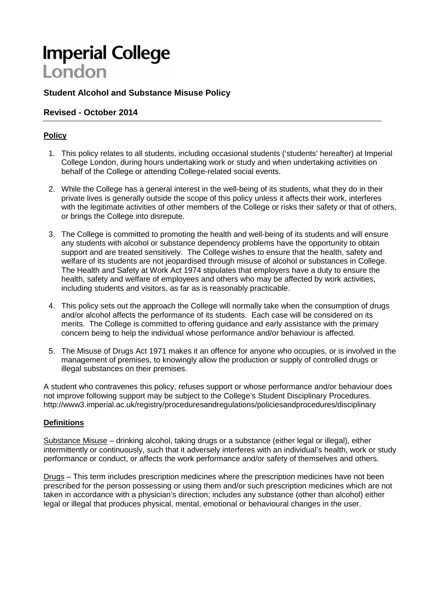# **Imperial College** London

# **Student Alcohol and Substance Misuse Policy**

## **Revised - October 2014**

## **Policy**

- 1. This policy relates to all students, including occasional students ('students' hereafter) at Imperial College London, during hours undertaking work or study and when undertaking activities on behalf of the College or attending College-related social events.
- 2. While the College has a general interest in the well-being of its students, what they do in their private lives is generally outside the scope of this policy unless it affects their work, interferes with the legitimate activities of other members of the College or risks their safety or that of others, or brings the College into disrepute.
- 3. The College is committed to promoting the health and well-being of its students and will ensure any students with alcohol or substance dependency problems have the opportunity to obtain support and are treated sensitively. The College wishes to ensure that the health, safety and welfare of its students are not jeopardised through misuse of alcohol or substances in College. The Health and Safety at Work Act 1974 stipulates that employers have a duty to ensure the health, safety and welfare of employees and others who may be affected by work activities, including students and visitors, as far as is reasonably practicable.
- 4. This policy sets out the approach the College will normally take when the consumption of drugs and/or alcohol affects the performance of its students. Each case will be considered on its merits. The College is committed to offering guidance and early assistance with the primary concern being to help the individual whose performance and/or behaviour is affected.
- 5. The Misuse of Drugs Act 1971 makes it an offence for anyone who occupies, or is involved in the management of premises, to knowingly allow the production or supply of controlled drugs or illegal substances on their premises.

A student who contravenes this policy, refuses support or whose performance and/or behaviour does not improve following support may be subject to the College's Student Disciplinary Procedures. http://www3.imperial.ac.uk/registry/proceduresandregulations/policiesandprocedures/disciplinary

#### **Definitions**

Substance Misuse – drinking alcohol, taking drugs or a substance (either legal or illegal), either intermittently or continuously, such that it adversely interferes with an individual's health, work or study performance or conduct, or affects the work performance and/or safety of themselves and others.

Drugs – This term includes prescription medicines where the prescription medicines have not been prescribed for the person possessing or using them and/or such prescription medicines which are not taken in accordance with a physician's direction; includes any substance (other than alcohol) either legal or illegal that produces physical, mental, emotional or behavioural changes in the user.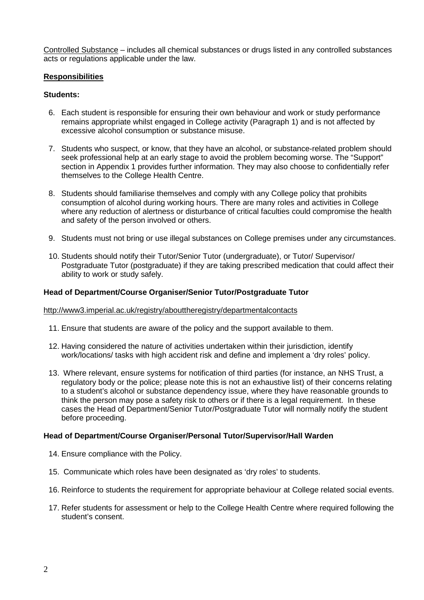Controlled Substance – includes all chemical substances or drugs listed in any controlled substances acts or regulations applicable under the law.

#### **Responsibilities**

#### **Students:**

- 6. Each student is responsible for ensuring their own behaviour and work or study performance remains appropriate whilst engaged in College activity (Paragraph 1) and is not affected by excessive alcohol consumption or substance misuse.
- 7. Students who suspect, or know, that they have an alcohol, or substance-related problem should seek professional help at an early stage to avoid the problem becoming worse. The "Support" section in Appendix 1 provides further information. They may also choose to confidentially refer themselves to the College Health Centre.
- 8. Students should familiarise themselves and comply with any College policy that prohibits consumption of alcohol during working hours. There are many roles and activities in College where any reduction of alertness or disturbance of critical faculties could compromise the health and safety of the person involved or others.
- 9. Students must not bring or use illegal substances on College premises under any circumstances.
- 10. Students should notify their Tutor/Senior Tutor (undergraduate), or Tutor/ Supervisor/ Postgraduate Tutor (postgraduate) if they are taking prescribed medication that could affect their ability to work or study safely.

#### **Head of Department/Course Organiser/Senior Tutor/Postgraduate Tutor**

#### http://www3.imperial.ac.uk/registry/abouttheregistry/departmentalcontacts

- 11. Ensure that students are aware of the policy and the support available to them.
- 12. Having considered the nature of activities undertaken within their jurisdiction, identify work/locations/ tasks with high accident risk and define and implement a 'dry roles' policy.
- 13. Where relevant, ensure systems for notification of third parties (for instance, an NHS Trust, a regulatory body or the police; please note this is not an exhaustive list) of their concerns relating to a student's alcohol or substance dependency issue, where they have reasonable grounds to think the person may pose a safety risk to others or if there is a legal requirement. In these cases the Head of Department/Senior Tutor/Postgraduate Tutor will normally notify the student before proceeding.

#### **Head of Department/Course Organiser/Personal Tutor/Supervisor/Hall Warden**

- 14. Ensure compliance with the Policy.
- 15. Communicate which roles have been designated as 'dry roles' to students.
- 16. Reinforce to students the requirement for appropriate behaviour at College related social events.
- 17. Refer students for assessment or help to the College Health Centre where required following the student's consent.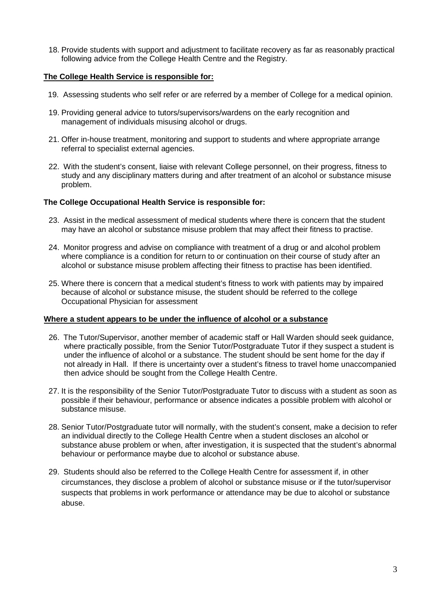18. Provide students with support and adjustment to facilitate recovery as far as reasonably practical following advice from the College Health Centre and the Registry.

#### **The College Health Service is responsible for:**

- 19. Assessing students who self refer or are referred by a member of College for a medical opinion.
- 19. Providing general advice to tutors/supervisors/wardens on the early recognition and management of individuals misusing alcohol or drugs.
- 21. Offer in-house treatment, monitoring and support to students and where appropriate arrange referral to specialist external agencies.
- 22. With the student's consent, liaise with relevant College personnel, on their progress, fitness to study and any disciplinary matters during and after treatment of an alcohol or substance misuse problem.

#### **The College Occupational Health Service is responsible for:**

- 23. Assist in the medical assessment of medical students where there is concern that the student may have an alcohol or substance misuse problem that may affect their fitness to practise.
- 24. Monitor progress and advise on compliance with treatment of a drug or and alcohol problem where compliance is a condition for return to or continuation on their course of study after an alcohol or substance misuse problem affecting their fitness to practise has been identified.
- 25. Where there is concern that a medical student's fitness to work with patients may by impaired because of alcohol or substance misuse, the student should be referred to the college Occupational Physician for assessment

#### **Where a student appears to be under the influence of alcohol or a substance**

- 26. The Tutor/Supervisor, another member of academic staff or Hall Warden should seek guidance, where practically possible, from the Senior Tutor/Postgraduate Tutor if they suspect a student is under the influence of alcohol or a substance. The student should be sent home for the day if not already in Hall. If there is uncertainty over a student's fitness to travel home unaccompanied then advice should be sought from the College Health Centre.
- 27. It is the responsibility of the Senior Tutor/Postgraduate Tutor to discuss with a student as soon as possible if their behaviour, performance or absence indicates a possible problem with alcohol or substance misuse.
- 28. Senior Tutor/Postgraduate tutor will normally, with the student's consent, make a decision to refer an individual directly to the College Health Centre when a student discloses an alcohol or substance abuse problem or when, after investigation, it is suspected that the student's abnormal behaviour or performance maybe due to alcohol or substance abuse.
- 29. Students should also be referred to the College Health Centre for assessment if, in other circumstances, they disclose a problem of alcohol or substance misuse or if the tutor/supervisor suspects that problems in work performance or attendance may be due to alcohol or substance abuse.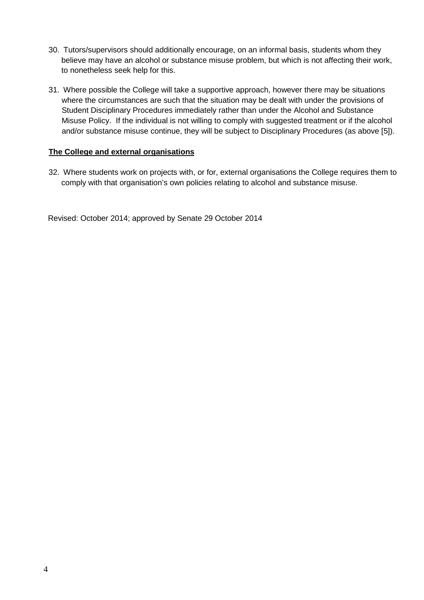- 30. Tutors/supervisors should additionally encourage, on an informal basis, students whom they believe may have an alcohol or substance misuse problem, but which is not affecting their work, to nonetheless seek help for this.
- 31. Where possible the College will take a supportive approach, however there may be situations where the circumstances are such that the situation may be dealt with under the provisions of Student Disciplinary Procedures immediately rather than under the Alcohol and Substance Misuse Policy. If the individual is not willing to comply with suggested treatment or if the alcohol and/or substance misuse continue, they will be subject to Disciplinary Procedures (as above [5]).

#### **The College and external organisations**

32. Where students work on projects with, or for, external organisations the College requires them to comply with that organisation's own policies relating to alcohol and substance misuse.

Revised: October 2014; approved by Senate 29 October 2014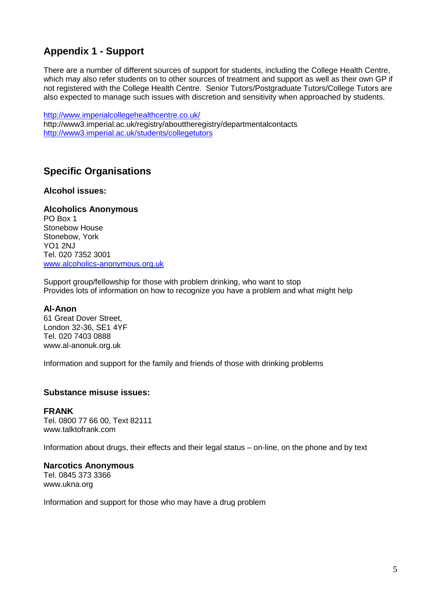# **Appendix 1 - Support**

There are a number of different sources of support for students, including the College Health Centre, which may also refer students on to other sources of treatment and support as well as their own GP if not registered with the College Health Centre. Senior Tutors/Postgraduate Tutors/College Tutors are also expected to manage such issues with discretion and sensitivity when approached by students.

<http://www.imperialcollegehealthcentre.co.uk/> http://www3.imperial.ac.uk/registry/abouttheregistry/departmentalcontacts <http://www3.imperial.ac.uk/students/collegetutors>

# **Specific Organisations**

# **Alcohol issues:**

# **Alcoholics Anonymous**

PO Box 1 Stonebow House Stonebow, York YO1 2NJ Tel. 020 7352 3001 [www.alcoholics-anonymous.org.uk](http://www.alcoholics-anonymous.org.uk/)

Support group/fellowship for those with problem drinking, who want to stop Provides lots of information on how to recognize you have a problem and what might help

# **Al-Anon**

61 Great Dover Street, London 32-36, SE1 4YF Tel. 020 7403 0888 www.al-anonuk.org.uk

Information and support for the family and friends of those with drinking problems

# **Substance misuse issues:**

**FRANK** Tel. 0800 77 66 00, Text 82111 [www.talktofrank.com](http://www.talktofrank.com/)

Information about drugs, their effects and their legal status – on-line, on the phone and by text

# **Narcotics Anonymous**

Tel. 0845 373 3366 [www.ukna.org](http://www.ukna.org/)

Information and support for those who may have a drug problem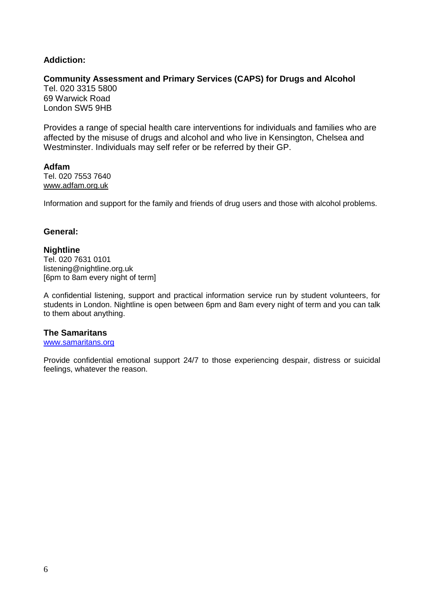# **Addiction:**

## **Community Assessment and Primary Services (CAPS) for Drugs and Alcohol**

Tel. 020 3315 5800 69 Warwick Road London SW5 9HB

Provides a range of special health care interventions for individuals and families who are affected by the misuse of drugs and alcohol and who live in Kensington, Chelsea and Westminster. Individuals may self refer or be referred by their GP.

**Adfam** Tel. 020 7553 7640 [www.adfam.org.uk](http://www.adfam.org.uk/)

Information and support for the family and friends of drug users and those with alcohol problems.

#### **General:**

#### **Nightline**

Tel. 020 7631 0101 listening@nightline.org.uk [6pm to 8am every night of term]

A confidential listening, support and practical information service run by student volunteers, for students in London. Nightline is open between 6pm and 8am every night of term and you can talk to them about anything.

#### **The Samaritans**

[www.samaritans.org](http://www.samaritans.org/)

Provide confidential emotional support 24/7 to those experiencing despair, distress or suicidal feelings, whatever the reason.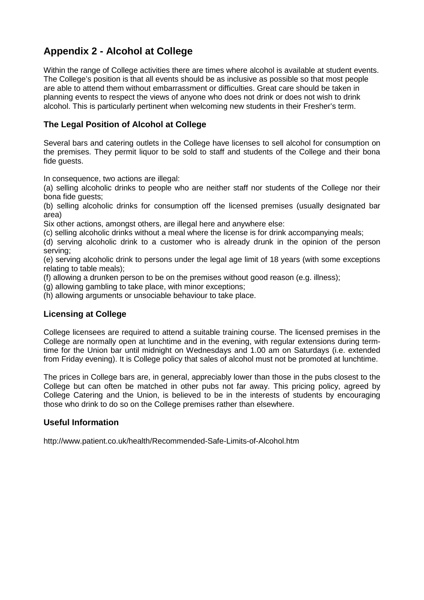# **Appendix 2 - Alcohol at College**

Within the range of College activities there are times where alcohol is available at student events. The College's position is that all events should be as inclusive as possible so that most people are able to attend them without embarrassment or difficulties. Great care should be taken in planning events to respect the views of anyone who does not drink or does not wish to drink alcohol. This is particularly pertinent when welcoming new students in their Fresher's term.

# **The Legal Position of Alcohol at College**

Several bars and catering outlets in the College have licenses to sell alcohol for consumption on the premises. They permit liquor to be sold to staff and students of the College and their bona fide guests.

In consequence, two actions are illegal:

(a) selling alcoholic drinks to people who are neither staff nor students of the College nor their bona fide guests;

(b) selling alcoholic drinks for consumption off the licensed premises (usually designated bar area)

Six other actions, amongst others, are illegal here and anywhere else:

(c) selling alcoholic drinks without a meal where the license is for drink accompanying meals;

(d) serving alcoholic drink to a customer who is already drunk in the opinion of the person serving;

(e) serving alcoholic drink to persons under the legal age limit of 18 years (with some exceptions relating to table meals);

(f) allowing a drunken person to be on the premises without good reason (e.g. illness);

(g) allowing gambling to take place, with minor exceptions;

(h) allowing arguments or unsociable behaviour to take place.

# **Licensing at College**

College licensees are required to attend a suitable training course. The licensed premises in the College are normally open at lunchtime and in the evening, with regular extensions during termtime for the Union bar until midnight on Wednesdays and 1.00 am on Saturdays (i.e. extended from Friday evening). It is College policy that sales of alcohol must not be promoted at lunchtime.

The prices in College bars are, in general, appreciably lower than those in the pubs closest to the College but can often be matched in other pubs not far away. This pricing policy, agreed by College Catering and the Union, is believed to be in the interests of students by encouraging those who drink to do so on the College premises rather than elsewhere.

# **Useful Information**

http://www.patient.co.uk/health/Recommended-Safe-Limits-of-Alcohol.htm